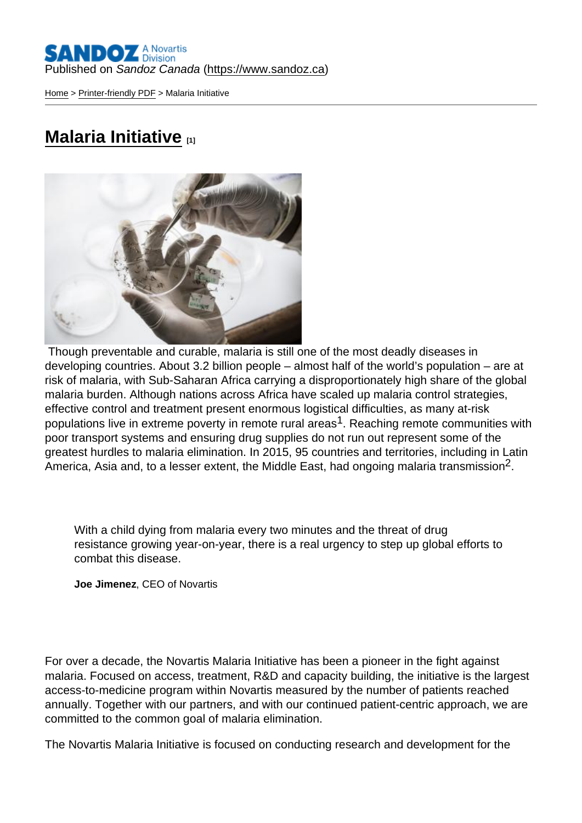[Home](https://www.sandoz.ca/en) > [Printer-friendly PDF](https://www.sandoz.ca/en/printpdf) > Malaria Initiative

## [Malaria Initiative](https://www.sandoz.ca/en/malaria-initiative) [1]

 Though preventable and curable, malaria is still one of the most deadly diseases in developing countries. About 3.2 billion people – almost half of the world's population – are at risk of malaria, with Sub-Saharan Africa carrying a disproportionately high share of the global malaria burden. Although nations across Africa have scaled up malaria control strategies, effective control and treatment present enormous logistical difficulties, as many at-risk populations live in extreme poverty in remote rural areas<sup>1</sup>. Reaching remote communities with poor transport systems and ensuring drug supplies do not run out represent some of the greatest hurdles to malaria elimination. In 2015, 95 countries and territories, including in Latin America, Asia and, to a lesser extent, the Middle East, had ongoing malaria transmission<sup>2</sup>.

With a child dying from malaria every two minutes and the threat of drug resistance growing year-on-year, there is a real urgency to step up global efforts to combat this disease.

Joe Jimenez , CEO of Novartis

For over a decade, the Novartis Malaria Initiative has been a pioneer in the fight against malaria. Focused on access, treatment, R&D and capacity building, the initiative is the largest access-to-medicine program within Novartis measured by the number of patients reached annually. Together with our partners, and with our continued patient-centric approach, we are committed to the common goal of malaria elimination.

The Novartis Malaria Initiative is focused on conducting research and development for the